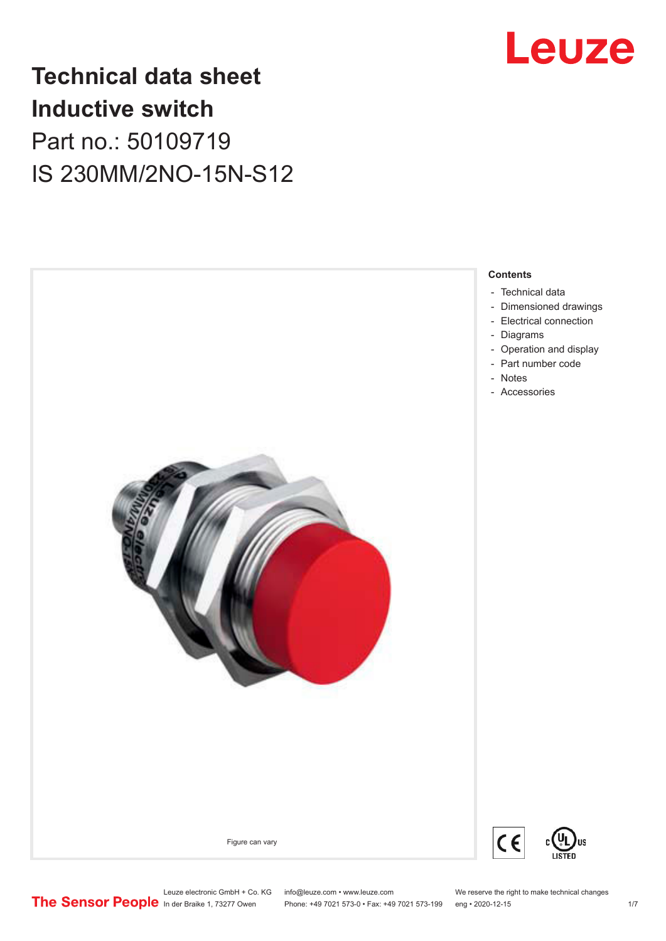

## **Technical data sheet Inductive switch** Part no.: 50109719 IS 230MM/2NO-15N-S12



Leuze electronic GmbH + Co. KG info@leuze.com • www.leuze.com We reserve the right to make technical changes<br>
The Sensor People in der Braike 1, 73277 Owen Phone: +49 7021 573-0 • Fax: +49 7021 573-199 eng • 2020-12-15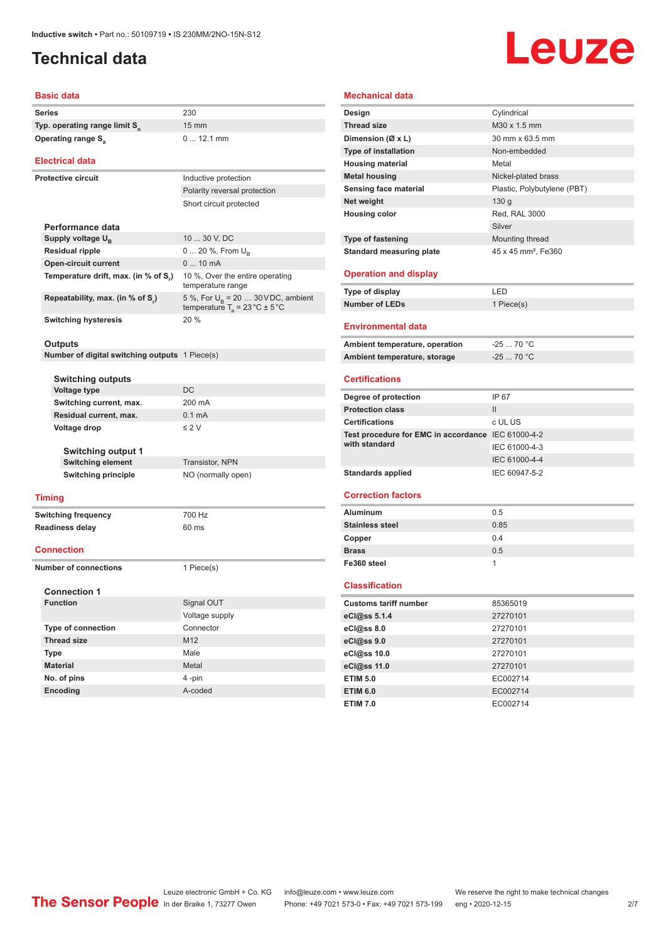**Protective circuit** Inductive protection

## <span id="page-1-0"></span>**Technical data**

# Leuze

#### **Basic data**

| <b>Series</b>                             | 230             |
|-------------------------------------------|-----------------|
| Typ. operating range limit S <sub>n</sub> | 15 <sub>1</sub> |
| Operating range S <sub>3</sub>            | $\ddotsc$       |

#### **Electrical data**

|                                      | Polarity reversal protection                                                             |
|--------------------------------------|------------------------------------------------------------------------------------------|
|                                      | Short circuit protected                                                                  |
| Performance data                     |                                                                                          |
| Supply voltage $U_{\rm B}$           | 10  30 V. DC                                                                             |
| <b>Residual ripple</b>               | $0 20 \%$ , From $U_{\rm B}$                                                             |
| <b>Open-circuit current</b>          | $010$ mA                                                                                 |
| Temperature drift, max. (in % of S.) | 10 %, Over the entire operating<br>temperature range                                     |
| Repeatability, max. (in % of S.)     | 5 %, For $U_R$ = 20  30 VDC, ambient<br>temperature $T_a = 23 \degree C \pm 5 \degree C$ |
| <b>Switching hysteresis</b>          | 20%                                                                                      |

15 mm

0 ... 12.1 mm

#### **Outputs**

**Number of digital switching outputs** 1 Piece(s)

**Thread size** M12 **Type** Male **Material** Metal **No. of pins** 4-pin **Encoding** A-coded

| <b>Switching outputs</b>   |                     |                            |                    |
|----------------------------|---------------------|----------------------------|--------------------|
|                            |                     | <b>Voltage type</b>        | <b>DC</b>          |
|                            |                     | Switching current, max.    | 200 mA             |
| Residual current, max.     |                     |                            | $0.1 \text{ mA}$   |
| Voltage drop               |                     |                            | $\leq 2$ V         |
| <b>Switching output 1</b>  |                     |                            |                    |
|                            |                     | <b>Switching element</b>   | Transistor, NPN    |
|                            |                     | <b>Switching principle</b> | NO (normally open) |
|                            |                     |                            |                    |
|                            | <b>Timing</b>       |                            |                    |
| <b>Switching frequency</b> |                     |                            | 700 Hz             |
| <b>Readiness delay</b>     |                     |                            | $60$ ms            |
|                            | <b>Connection</b>   |                            |                    |
|                            |                     |                            |                    |
| Number of connections      |                     |                            | 1 Piece(s)         |
|                            |                     |                            |                    |
|                            | <b>Connection 1</b> |                            |                    |
|                            | <b>Function</b>     |                            | Signal OUT         |
|                            |                     |                            | Voltage supply     |
|                            |                     | <b>Type of connection</b>  | Connector          |

#### **Type of fastening** Mounting thread **Standard measuring plate** 45 x 45 mm<sup>2</sup>, Fe360 **Operation and display**

| Type of display | I ED       |
|-----------------|------------|
| Number of LEDs  | 1 Piece(s) |

**Metal housing** Nickel-plated brass **Sensing face material example 3 and Plastic, Polybutylene (PBT)** 

**Design** Cylindrical **Thread size** M30 x 1.5 mm **Dimension (Ø x L)** 30 mm x 63.5 mm **Type of installation** Non-embedded **Housing material Metal** 

**Net weight** 130 g **Housing color** Red, RAL 3000

#### **Environmental data**

**Mechanical data**

| Ambient temperature, operation | -25  70 °C                   |
|--------------------------------|------------------------------|
| Ambient temperature, storage   | $-2570$ $^{\circ}$ C $^{-1}$ |

Silver

#### **Certifications**

| Degree of protection                               | IP 67         |
|----------------------------------------------------|---------------|
| <b>Protection class</b>                            | $\mathbf{H}$  |
| <b>Certifications</b>                              | c UL US       |
| Test procedure for EMC in accordance IEC 61000-4-2 |               |
| with standard                                      | IEC 61000-4-3 |
|                                                    | IEC 61000-4-4 |
| <b>Standards applied</b>                           | IEC 60947-5-2 |
|                                                    |               |

#### **Correction factors**

| <b>Aluminum</b>        | 0.5  |
|------------------------|------|
| <b>Stainless steel</b> | 0.85 |
| Copper                 | 0.4  |
| <b>Brass</b>           | 0.5  |
| Fe360 steel            |      |

#### **Classification**

| <b>Customs tariff number</b> | 85365019 |  |
|------------------------------|----------|--|
| eCl@ss 5.1.4                 | 27270101 |  |
| eCl@ss 8.0                   | 27270101 |  |
| eCl@ss 9.0                   | 27270101 |  |
| eCl@ss 10.0                  | 27270101 |  |
| eCl@ss 11.0                  | 27270101 |  |
| <b>ETIM 5.0</b>              | EC002714 |  |
| <b>ETIM 6.0</b>              | EC002714 |  |
| <b>ETIM 7.0</b>              | EC002714 |  |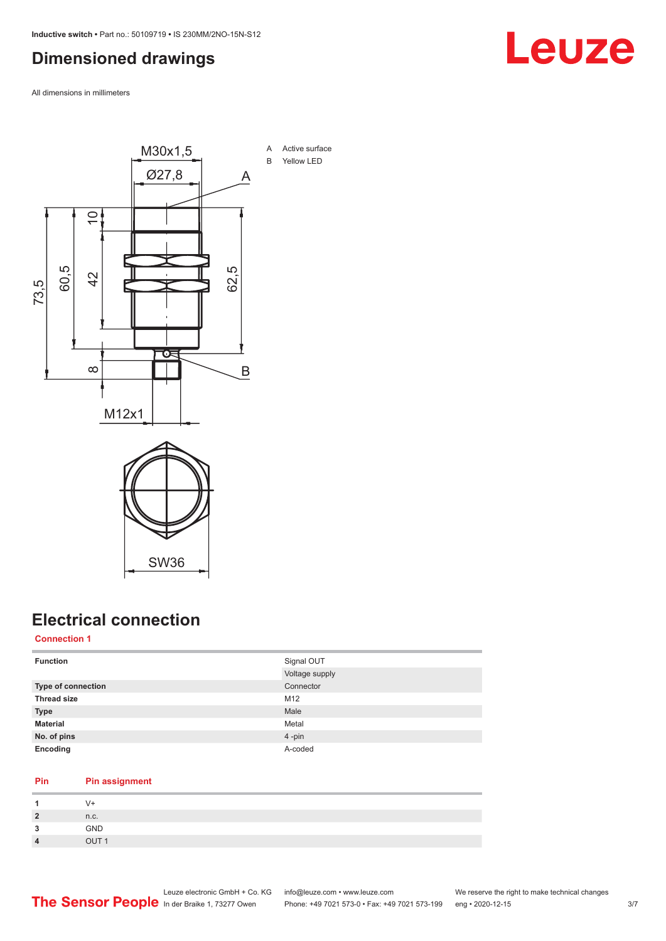### <span id="page-2-0"></span>**Dimensioned drawings**

All dimensions in millimeters



## **Electrical connection**

**Connection 1**

| <b>Function</b>           | Signal OUT     |
|---------------------------|----------------|
|                           | Voltage supply |
| <b>Type of connection</b> | Connector      |
| <b>Thread size</b>        | M12            |
| <b>Type</b>               | Male           |
| <b>Material</b>           | Metal          |
| No. of pins               | 4-pin          |
| Encoding                  | A-coded        |

#### **Pin Pin assignment**

|   | $V +$            |
|---|------------------|
|   | n.c.             |
| ໍ | <b>GND</b>       |
|   | OUT <sub>1</sub> |

## Leuze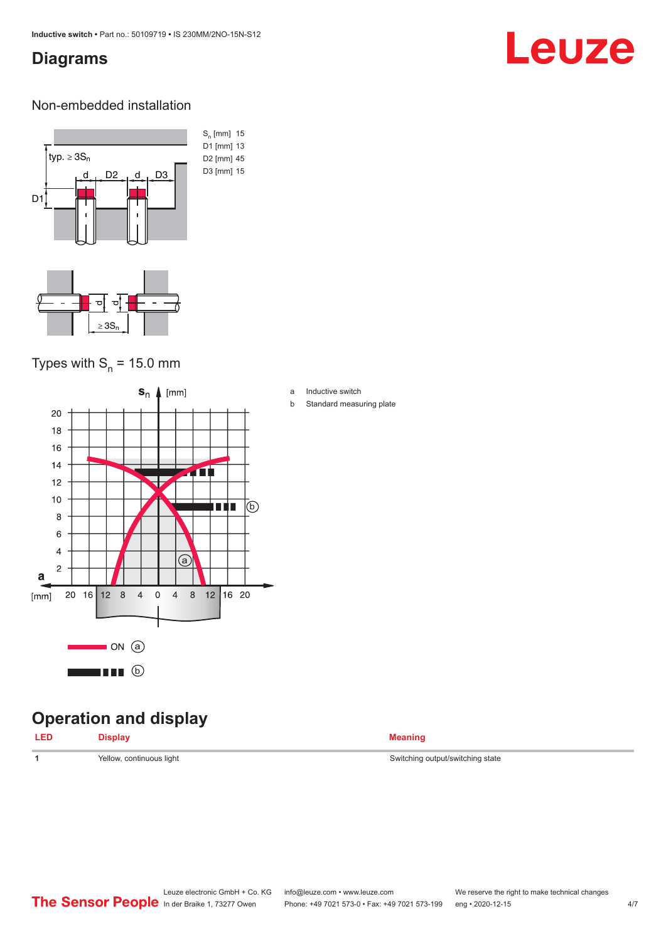### <span id="page-3-0"></span>**Diagrams**

# Leuze

#### Non-embedded installation



### Types with  $S_n$  = 15.0 mm



## **Operation and display**

| <b>LED</b> | <b>Display</b> | <b>Meaning</b> |
|------------|----------------|----------------|
|            |                |                |

a Inductive switch

b Standard measuring plate

**1** Yellow, continuous light Switching output/switching state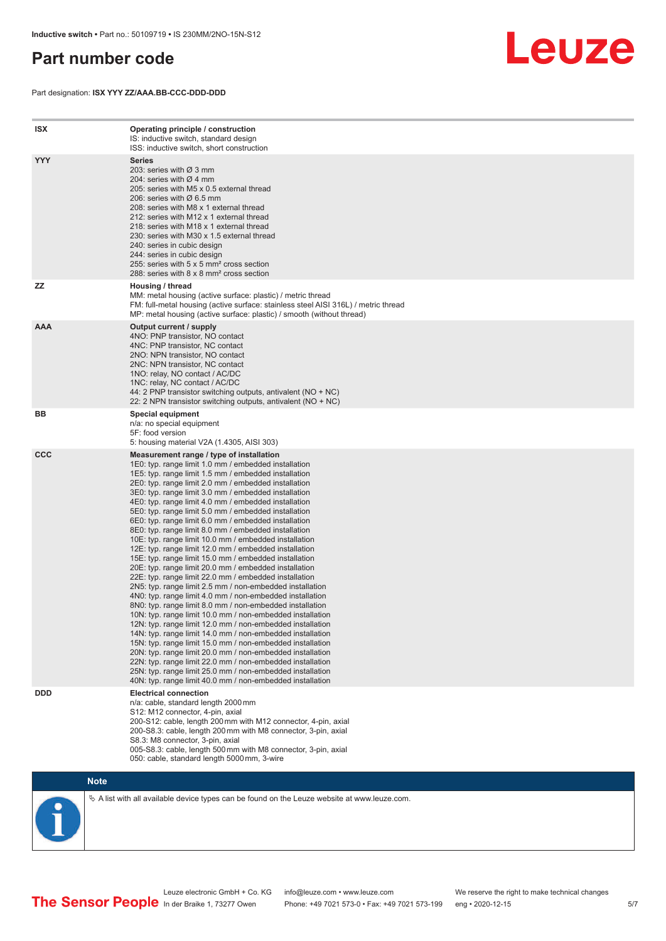### <span id="page-4-0"></span>**Part number code**

Part designation: **ISX YYY ZZ/AAA.BB-CCC-DDD-DDD**



| <b>ISX</b> | Operating principle / construction<br>IS: inductive switch, standard design<br>ISS: inductive switch, short construction                                                                                                                                                                                                                                                                                                                                                                                                                                                                                                                                                                                                                                                                                                                                                                                                                                                                                                                                                                                                                                                                                                                                                                                                                                                                                                                                                                          |
|------------|---------------------------------------------------------------------------------------------------------------------------------------------------------------------------------------------------------------------------------------------------------------------------------------------------------------------------------------------------------------------------------------------------------------------------------------------------------------------------------------------------------------------------------------------------------------------------------------------------------------------------------------------------------------------------------------------------------------------------------------------------------------------------------------------------------------------------------------------------------------------------------------------------------------------------------------------------------------------------------------------------------------------------------------------------------------------------------------------------------------------------------------------------------------------------------------------------------------------------------------------------------------------------------------------------------------------------------------------------------------------------------------------------------------------------------------------------------------------------------------------------|
| <b>YYY</b> | <b>Series</b><br>203: series with Ø 3 mm<br>204: series with $\varnothing$ 4 mm<br>205: series with M5 x 0.5 external thread<br>206: series with $\varnothing$ 6.5 mm<br>208: series with M8 x 1 external thread<br>212: series with M12 x 1 external thread<br>218: series with M18 x 1 external thread<br>230: series with M30 x 1.5 external thread<br>240: series in cubic design<br>244: series in cubic design<br>255: series with 5 x 5 mm <sup>2</sup> cross section<br>288: series with 8 x 8 mm <sup>2</sup> cross section                                                                                                                                                                                                                                                                                                                                                                                                                                                                                                                                                                                                                                                                                                                                                                                                                                                                                                                                                              |
| <b>ZZ</b>  | Housing / thread<br>MM: metal housing (active surface: plastic) / metric thread<br>FM: full-metal housing (active surface: stainless steel AISI 316L) / metric thread<br>MP: metal housing (active surface: plastic) / smooth (without thread)                                                                                                                                                                                                                                                                                                                                                                                                                                                                                                                                                                                                                                                                                                                                                                                                                                                                                                                                                                                                                                                                                                                                                                                                                                                    |
| <b>AAA</b> | Output current / supply<br>4NO: PNP transistor, NO contact<br>4NC: PNP transistor, NC contact<br>2NO: NPN transistor, NO contact<br>2NC: NPN transistor, NC contact<br>1NO: relay, NO contact / AC/DC<br>1NC: relay, NC contact / AC/DC<br>44: 2 PNP transistor switching outputs, antivalent (NO + NC)<br>22: 2 NPN transistor switching outputs, antivalent (NO + NC)                                                                                                                                                                                                                                                                                                                                                                                                                                                                                                                                                                                                                                                                                                                                                                                                                                                                                                                                                                                                                                                                                                                           |
| BB         | Special equipment<br>n/a: no special equipment<br>5F: food version<br>5: housing material V2A (1.4305, AISI 303)                                                                                                                                                                                                                                                                                                                                                                                                                                                                                                                                                                                                                                                                                                                                                                                                                                                                                                                                                                                                                                                                                                                                                                                                                                                                                                                                                                                  |
| <b>CCC</b> | Measurement range / type of installation<br>1E0: typ. range limit 1.0 mm / embedded installation<br>1E5: typ. range limit 1.5 mm / embedded installation<br>2E0: typ. range limit 2.0 mm / embedded installation<br>3E0: typ. range limit 3.0 mm / embedded installation<br>4E0: typ. range limit 4.0 mm / embedded installation<br>5E0: typ. range limit 5.0 mm / embedded installation<br>6E0: typ. range limit 6.0 mm / embedded installation<br>8E0: typ. range limit 8.0 mm / embedded installation<br>10E: typ. range limit 10.0 mm / embedded installation<br>12E: typ. range limit 12.0 mm / embedded installation<br>15E: typ. range limit 15.0 mm / embedded installation<br>20E: typ. range limit 20.0 mm / embedded installation<br>22E: typ. range limit 22.0 mm / embedded installation<br>2N5: typ. range limit 2.5 mm / non-embedded installation<br>4N0: typ. range limit 4.0 mm / non-embedded installation<br>8NO: typ. range limit 8.0 mm / non-embedded installation<br>10N: typ. range limit 10.0 mm / non-embedded installation<br>12N: typ. range limit 12.0 mm / non-embedded installation<br>14N: typ. range limit 14.0 mm / non-embedded installation<br>15N: typ. range limit 15.0 mm / non-embedded installation<br>20N: typ. range limit 20.0 mm / non-embedded installation<br>22N: typ. range limit 22.0 mm / non-embedded installation<br>25N: typ. range limit 25.0 mm / non-embedded installation<br>40N: typ. range limit 40.0 mm / non-embedded installation |
| <b>DDD</b> | <b>Electrical connection</b><br>n/a: cable, standard length 2000 mm<br>S12: M12 connector, 4-pin, axial<br>200-S12: cable, length 200 mm with M12 connector, 4-pin, axial<br>200-S8.3: cable, length 200 mm with M8 connector, 3-pin, axial<br>S8.3: M8 connector, 3-pin, axial<br>005-S8.3: cable, length 500 mm with M8 connector, 3-pin, axial<br>050: cable, standard length 5000 mm, 3-wire                                                                                                                                                                                                                                                                                                                                                                                                                                                                                                                                                                                                                                                                                                                                                                                                                                                                                                                                                                                                                                                                                                  |



 $\%$  A list with all available device types can be found on the Leuze website at www.leuze.com.

In der Braike 1, 73277 Owen Phone: +49 7021 573-0 • Fax: +49 7021 573-199 eng • 2020-12-15

Leuze electronic GmbH + Co. KG info@leuze.com • www.leuze.com We reserve the right to make technical changes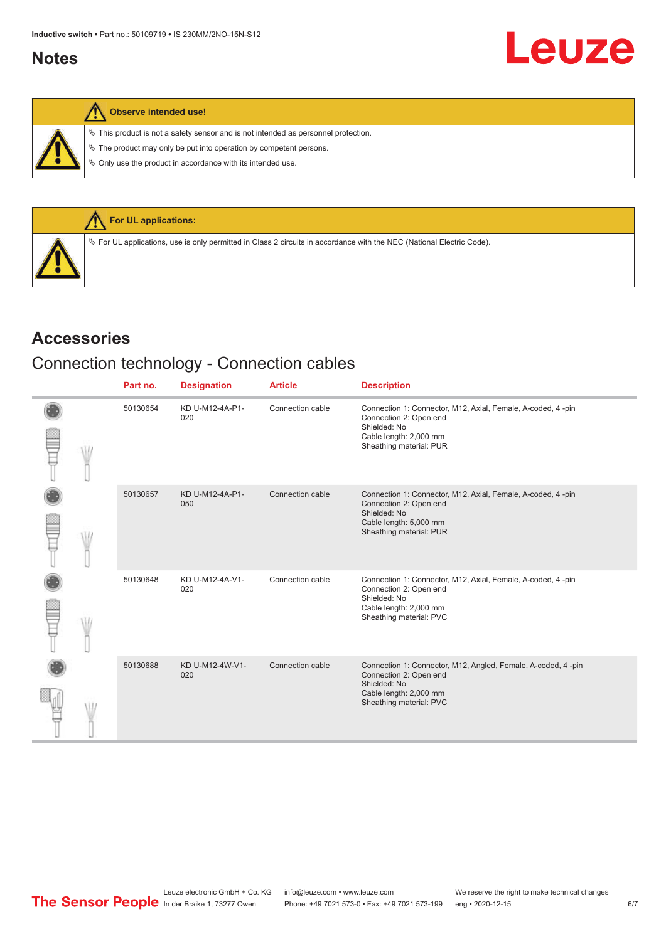#### <span id="page-5-0"></span>**Notes**

|  |  | Observe intended use! |  |
|--|--|-----------------------|--|
|--|--|-----------------------|--|

 $\%$  This product is not a safety sensor and is not intended as personnel protection.

 $\&$  The product may only be put into operation by competent persons.

 $\%$  Only use the product in accordance with its intended use.



#### **Accessories**

## Connection technology - Connection cables

|  | Part no. | <b>Designation</b>     | <b>Article</b>   | <b>Description</b>                                                                                                                                          |
|--|----------|------------------------|------------------|-------------------------------------------------------------------------------------------------------------------------------------------------------------|
|  | 50130654 | KD U-M12-4A-P1-<br>020 | Connection cable | Connection 1: Connector, M12, Axial, Female, A-coded, 4-pin<br>Connection 2: Open end<br>Shielded: No<br>Cable length: 2,000 mm<br>Sheathing material: PUR  |
|  | 50130657 | KD U-M12-4A-P1-<br>050 | Connection cable | Connection 1: Connector, M12, Axial, Female, A-coded, 4 -pin<br>Connection 2: Open end<br>Shielded: No<br>Cable length: 5,000 mm<br>Sheathing material: PUR |
|  | 50130648 | KD U-M12-4A-V1-<br>020 | Connection cable | Connection 1: Connector, M12, Axial, Female, A-coded, 4-pin<br>Connection 2: Open end<br>Shielded: No<br>Cable length: 2,000 mm<br>Sheathing material: PVC  |
|  | 50130688 | KD U-M12-4W-V1-<br>020 | Connection cable | Connection 1: Connector, M12, Angled, Female, A-coded, 4-pin<br>Connection 2: Open end<br>Shielded: No<br>Cable length: 2,000 mm<br>Sheathing material: PVC |

Leuze